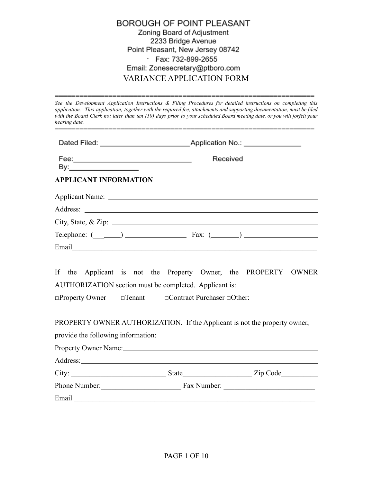| BOROUGH OF POINT PLEASANT        |
|----------------------------------|
| Zoning Board of Adjustment       |
| 2233 Bridge Avenue               |
| Point Pleasant, New Jersey 08742 |
| · Fax: 732-899-2655              |
| Email: Zonesecretary@ptboro.com  |
| <b>VARIANCE APPLICATION FORM</b> |

*See the Development Application Instructions & Filing Procedures for detailed instructions on completing this application. This application, together with the required fee, attachments and supporting documentation, must be filed* with the Board Clerk not later than ten (10) days prior to your scheduled Board meeting date, or you will forfeit your *hearing date.*

===============================================================

|                                    | Received                                                                                                                                                                                                                       |  |
|------------------------------------|--------------------------------------------------------------------------------------------------------------------------------------------------------------------------------------------------------------------------------|--|
| <b>APPLICANT INFORMATION</b>       |                                                                                                                                                                                                                                |  |
|                                    |                                                                                                                                                                                                                                |  |
|                                    |                                                                                                                                                                                                                                |  |
|                                    | City, State, & Zip: $\overline{\phantom{a}}$                                                                                                                                                                                   |  |
|                                    | Telephone: $(\_\_\_\_\_)$ Fax: $(\_\_\_\_)$                                                                                                                                                                                    |  |
|                                    |                                                                                                                                                                                                                                |  |
|                                    | If the Applicant is not the Property Owner, the PROPERTY OWNER<br>AUTHORIZATION section must be completed. Applicant is:<br>$\Box$ Property Owner $\Box$ Tenant $\Box$ Contract Purchaser $\Box$ Other:                        |  |
| provide the following information: | PROPERTY OWNER AUTHORIZATION. If the Applicant is not the property owner,                                                                                                                                                      |  |
|                                    | Property Owner Name: 1988. The Second State of the Second State of the Second State of the Second State of the Second State of the Second State of the Second State of the Second State of the Second State of the Second Stat |  |
|                                    |                                                                                                                                                                                                                                |  |
|                                    |                                                                                                                                                                                                                                |  |
|                                    |                                                                                                                                                                                                                                |  |
|                                    | Phone Number: Fax Number: Fax Number:                                                                                                                                                                                          |  |
| Email                              |                                                                                                                                                                                                                                |  |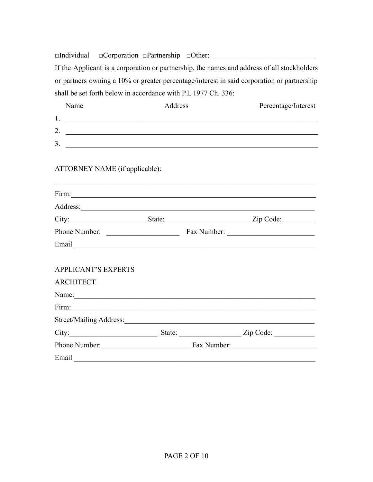□Individual □Corporation □Partnership □Other: \_\_\_\_\_\_\_\_\_\_\_\_\_\_\_\_\_\_\_\_\_\_\_\_\_\_\_\_\_\_\_\_\_ If the Applicant is a corporation or partnership, the names and address of all stockholders or partners owning a 10% or greater percentage/interest in said corporation or partnership shall be set forth below in accordance with P.L 1977 Ch. 336:

| Name                                                                                                                                                                                                                          | Address | Percentage/Interest |
|-------------------------------------------------------------------------------------------------------------------------------------------------------------------------------------------------------------------------------|---------|---------------------|
|                                                                                                                                                                                                                               |         |                     |
| 2. $\overline{\phantom{a}}$                                                                                                                                                                                                   |         |                     |
| $3.$ $\overline{\phantom{a}}$                                                                                                                                                                                                 |         |                     |
| ATTORNEY NAME (if applicable):                                                                                                                                                                                                |         |                     |
|                                                                                                                                                                                                                               |         |                     |
|                                                                                                                                                                                                                               |         |                     |
|                                                                                                                                                                                                                               |         |                     |
|                                                                                                                                                                                                                               |         |                     |
|                                                                                                                                                                                                                               |         |                     |
| <b>APPLICANT'S EXPERTS</b>                                                                                                                                                                                                    |         |                     |
| <b>ARCHITECT</b>                                                                                                                                                                                                              |         |                     |
| Name: Name: Name: Name: Name: Name: Name: Name: Name: Name: Name: Name: Name: Name: Name: Name: Name: Name: Name: Name: Name: Name: Name: Name: Name: Name: Name: Name: Name: Name: Name: Name: Name: Name: Name: Name: Name: |         |                     |
|                                                                                                                                                                                                                               |         |                     |
|                                                                                                                                                                                                                               |         |                     |
|                                                                                                                                                                                                                               |         |                     |
| Phone Number: Fax Number: Fax Number:                                                                                                                                                                                         |         |                     |
| Email                                                                                                                                                                                                                         |         |                     |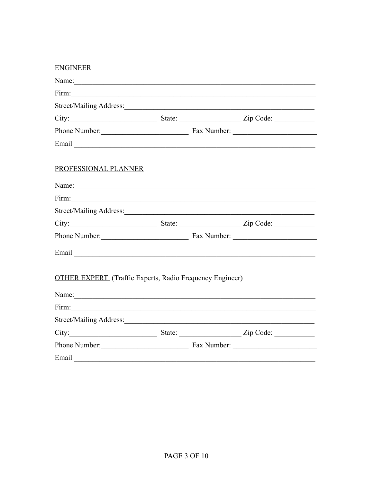| <b>ENGINEER</b>                                                                                                                                                                                                                |  |  |
|--------------------------------------------------------------------------------------------------------------------------------------------------------------------------------------------------------------------------------|--|--|
|                                                                                                                                                                                                                                |  |  |
|                                                                                                                                                                                                                                |  |  |
|                                                                                                                                                                                                                                |  |  |
|                                                                                                                                                                                                                                |  |  |
| Phone Number: Fax Number:                                                                                                                                                                                                      |  |  |
| Email Communication of the Communication of the Communication of the Communication of the Communication of the Communication of the Communication of the Communication of the Communication of the Communication of the Commun |  |  |
| PROFESSIONAL PLANNER                                                                                                                                                                                                           |  |  |
| Name: Name:                                                                                                                                                                                                                    |  |  |
|                                                                                                                                                                                                                                |  |  |
|                                                                                                                                                                                                                                |  |  |
|                                                                                                                                                                                                                                |  |  |
| Phone Number: Fax Number:                                                                                                                                                                                                      |  |  |
|                                                                                                                                                                                                                                |  |  |
| <b>OTHER EXPERT</b> (Traffic Experts, Radio Frequency Engineer)                                                                                                                                                                |  |  |
| Name:                                                                                                                                                                                                                          |  |  |
|                                                                                                                                                                                                                                |  |  |
|                                                                                                                                                                                                                                |  |  |
| City: <u>City:</u> State: <u>City: Zip Code:</u> City:                                                                                                                                                                         |  |  |
| Phone Number: Fax Number: Fax Number:                                                                                                                                                                                          |  |  |
| Email                                                                                                                                                                                                                          |  |  |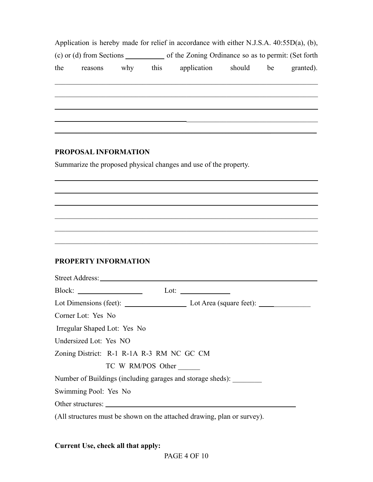|     |                              |     |        | Application is hereby made for relief in accordance with either N.J.S.A. $40:55D(a)$ , (b), |        |               |           |
|-----|------------------------------|-----|--------|---------------------------------------------------------------------------------------------|--------|---------------|-----------|
|     | $(c)$ or $(d)$ from Sections |     |        | of the Zoning Ordinance so as to permit: (Set forth)                                        |        |               |           |
| the | reasons                      | why | this t | application                                                                                 | should | <sub>be</sub> | granted). |

 $\mathcal{L}_\text{max}$  , and the contribution of the contribution of the contribution of the contribution of the contribution of the contribution of the contribution of the contribution of the contribution of the contribution of t

 $\mathcal{L}_\text{max} = \mathcal{L}_\text{max} = \mathcal{L}_\text{max} = \mathcal{L}_\text{max} = \mathcal{L}_\text{max} = \mathcal{L}_\text{max} = \mathcal{L}_\text{max} = \mathcal{L}_\text{max} = \mathcal{L}_\text{max} = \mathcal{L}_\text{max} = \mathcal{L}_\text{max} = \mathcal{L}_\text{max} = \mathcal{L}_\text{max} = \mathcal{L}_\text{max} = \mathcal{L}_\text{max} = \mathcal{L}_\text{max} = \mathcal{L}_\text{max} = \mathcal{L}_\text{max} = \mathcal{$ 

 $\mathcal{L}_\mathcal{L} = \mathcal{L}_\mathcal{L} = \mathcal{L}_\mathcal{L} = \mathcal{L}_\mathcal{L} = \mathcal{L}_\mathcal{L} = \mathcal{L}_\mathcal{L} = \mathcal{L}_\mathcal{L} = \mathcal{L}_\mathcal{L} = \mathcal{L}_\mathcal{L} = \mathcal{L}_\mathcal{L} = \mathcal{L}_\mathcal{L} = \mathcal{L}_\mathcal{L} = \mathcal{L}_\mathcal{L} = \mathcal{L}_\mathcal{L} = \mathcal{L}_\mathcal{L} = \mathcal{L}_\mathcal{L} = \mathcal{L}_\mathcal{L}$ 

 $\mathcal{L}_\text{max}$  , and the contribution of the contribution of the contribution of the contribution of the contribution of the contribution of the contribution of the contribution of the contribution of the contribution of t

 $\mathcal{L}_\text{max}$  , and the contribution of the contribution of the contribution of the contribution of the contribution of the contribution of the contribution of the contribution of the contribution of the contribution of t

 $\mathcal{L}_\text{max} = \mathcal{L}_\text{max} = \mathcal{L}_\text{max} = \mathcal{L}_\text{max} = \mathcal{L}_\text{max} = \mathcal{L}_\text{max} = \mathcal{L}_\text{max} = \mathcal{L}_\text{max} = \mathcal{L}_\text{max} = \mathcal{L}_\text{max} = \mathcal{L}_\text{max} = \mathcal{L}_\text{max} = \mathcal{L}_\text{max} = \mathcal{L}_\text{max} = \mathcal{L}_\text{max} = \mathcal{L}_\text{max} = \mathcal{L}_\text{max} = \mathcal{L}_\text{max} = \mathcal{$ 

 $\mathcal{L}_\text{max}$  , where  $\mathcal{L}_\text{max}$  and  $\mathcal{L}_\text{max}$  and  $\mathcal{L}_\text{max}$ 

## **PROPOSAL INFORMATION**

Summarize the proposed physical changes and use of the property.

### **PROPERTY INFORMATION**

| Block: $\qquad \qquad$       |                                                                         | Lot: $\_\_$ |  |
|------------------------------|-------------------------------------------------------------------------|-------------|--|
|                              |                                                                         |             |  |
| Corner Lot: Yes No           |                                                                         |             |  |
| Irregular Shaped Lot: Yes No |                                                                         |             |  |
| Undersized Lot: Yes NO       |                                                                         |             |  |
|                              | Zoning District: R-1 R-1A R-3 RM NC GC CM                               |             |  |
|                              | TC W RM/POS Other                                                       |             |  |
|                              | Number of Buildings (including garages and storage sheds):              |             |  |
| Swimming Pool: Yes No        |                                                                         |             |  |
|                              |                                                                         |             |  |
|                              | (All structures must be shown on the attached drawing, plan or survey). |             |  |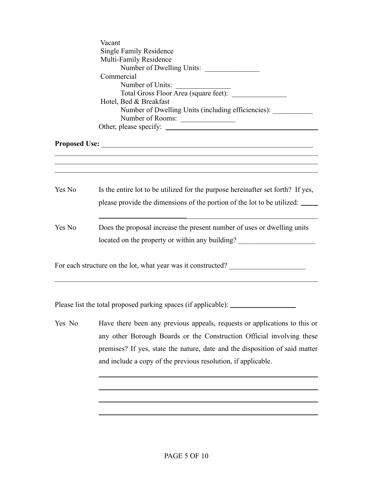|        | Vacant<br><b>Single Family Residence</b><br>Multi-Family Residence<br>Number of Dwelling Units:<br>Commercial<br>Number of Units:<br>Hotel, Bed & Breakfast<br>Number of Dwelling Units (including efficiencies):<br>Number of Rooms: |
|--------|---------------------------------------------------------------------------------------------------------------------------------------------------------------------------------------------------------------------------------------|
|        |                                                                                                                                                                                                                                       |
|        | ,我们也不能在这里的人,我们也不能在这里的人,我们也不能在这里的人,我们也不能在这里的人,我们也不能在这里的人,我们也不能在这里的人,我们也不能在这里的人,我们也                                                                                                                                                     |
| Yes No | Is the entire lot to be utilized for the purpose hereinafter set forth? If yes,<br>please provide the dimensions of the portion of the lot to be utilized:                                                                            |
| Yes No | Does the proposal increase the present number of uses or dwelling units<br>located on the property or within any building?                                                                                                            |
|        | For each structure on the lot, what year was it constructed?                                                                                                                                                                          |
|        | Please list the total proposed parking spaces (if applicable):                                                                                                                                                                        |

Yes No Have there been any previous appeals, requests or applications to this or any other Borough Boards or the Construction Official involving these premises? If yes, state the nature, date and the disposition of said matter and include a copy of the previous resolution, if applicable.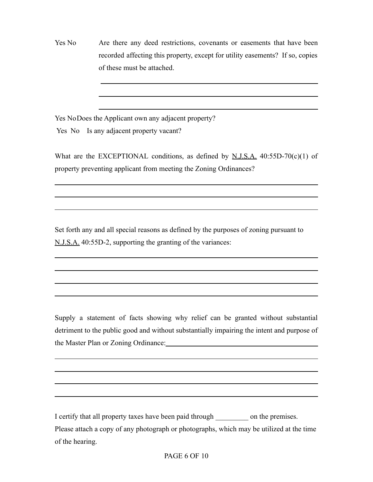Yes No Are there any deed restrictions, covenants or easements that have been recorded affecting this property, except for utility easements? If so, copies of these must be attached.

Yes NoDoes the Applicant own any adjacent property?

Yes No Is any adjacent property vacant?

What are the EXCEPTIONAL conditions, as defined by  $N.J.S.A.$  40:55D-70(c)(1) of property preventing applicant from meeting the Zoning Ordinances?

Set forth any and all special reasons as defined by the purposes of zoning pursuant to N.J.S.A. 40:55D-2, supporting the granting of the variances:

Supply a statement of facts showing why relief can be granted without substantial detriment to the public good and without substantially impairing the intent and purpose of the Master Plan or Zoning Ordinance:

I certify that all property taxes have been paid through \_\_\_\_\_\_\_\_\_ on the premises. Please attach a copy of any photograph or photographs, which may be utilized at the time of the hearing.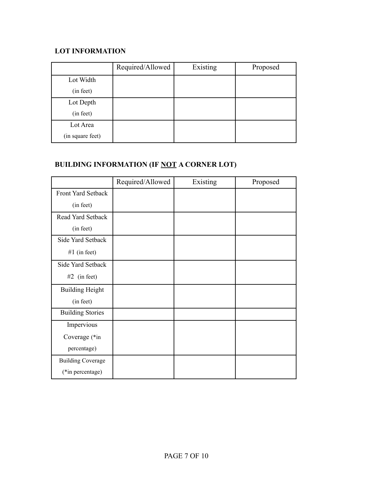## **LOT INFORMATION**

|                  | Required/Allowed | Existing | Proposed |
|------------------|------------------|----------|----------|
| Lot Width        |                  |          |          |
| (in feet)        |                  |          |          |
| Lot Depth        |                  |          |          |
| (in feet)        |                  |          |          |
| Lot Area         |                  |          |          |
| (in square feet) |                  |          |          |

# **BUILDING INFORMATION (IF NOT A CORNER LOT)**

|                          | Required/Allowed | Existing | Proposed |
|--------------------------|------------------|----------|----------|
| Front Yard Setback       |                  |          |          |
| (in feet)                |                  |          |          |
| Read Yard Setback        |                  |          |          |
| (in feet)                |                  |          |          |
| Side Yard Setback        |                  |          |          |
| #1 (in feet)             |                  |          |          |
| Side Yard Setback        |                  |          |          |
| $#2$ (in feet)           |                  |          |          |
| <b>Building Height</b>   |                  |          |          |
| (in feet)                |                  |          |          |
| <b>Building Stories</b>  |                  |          |          |
| Impervious               |                  |          |          |
| Coverage (*in            |                  |          |          |
| percentage)              |                  |          |          |
| <b>Building Coverage</b> |                  |          |          |
| (*in percentage)         |                  |          |          |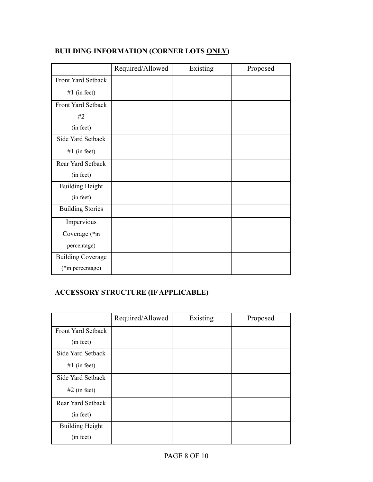|                          | Required/Allowed | Existing | Proposed |
|--------------------------|------------------|----------|----------|
| Front Yard Setback       |                  |          |          |
| #1 (in feet)             |                  |          |          |
| Front Yard Setback       |                  |          |          |
| #2                       |                  |          |          |
| (in feet)                |                  |          |          |
| Side Yard Setback        |                  |          |          |
| #1 (in feet)             |                  |          |          |
| Rear Yard Setback        |                  |          |          |
| (in feet)                |                  |          |          |
| <b>Building Height</b>   |                  |          |          |
| (in feet)                |                  |          |          |
| <b>Building Stories</b>  |                  |          |          |
| Impervious               |                  |          |          |
| Coverage (*in            |                  |          |          |
| percentage)              |                  |          |          |
| <b>Building Coverage</b> |                  |          |          |
| (*in percentage)         |                  |          |          |

# **BUILDING INFORMATION (CORNER LOTS ONLY)**

# **ACCESSORY STRUCTURE (IF APPLICABLE)**

|                           | Required/Allowed | Existing | Proposed |
|---------------------------|------------------|----------|----------|
| <b>Front Yard Setback</b> |                  |          |          |
| (in feet)                 |                  |          |          |
| Side Yard Setback         |                  |          |          |
| #1 (in feet)              |                  |          |          |
| Side Yard Setback         |                  |          |          |
| $#2$ (in feet)            |                  |          |          |
| Rear Yard Setback         |                  |          |          |
| (in feet)                 |                  |          |          |
| <b>Building Height</b>    |                  |          |          |
| (in feet)                 |                  |          |          |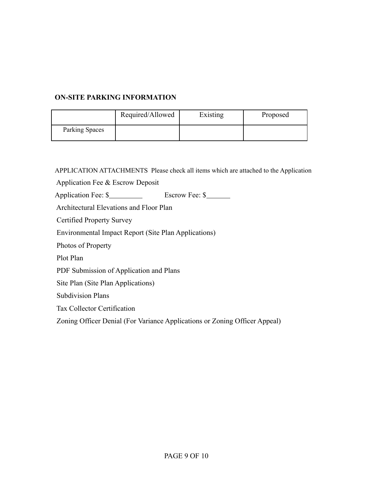## **ON-SITE PARKING INFORMATION**

|                | Required/Allowed | Existing | Proposed |
|----------------|------------------|----------|----------|
| Parking Spaces |                  |          |          |

APPLICATION ATTACHMENTS Please check all items which are attached to the Application

Application Fee & Escrow Deposit

Application Fee: \$<br>Bscrow Fee: \$

Architectural Elevations and Floor Plan

Certified Property Survey

Environmental Impact Report (Site Plan Applications)

Photos of Property

Plot Plan

PDF Submission of Application and Plans

Site Plan (Site Plan Applications)

Subdivision Plans

Tax Collector Certification

Zoning Officer Denial (For Variance Applications or Zoning Officer Appeal)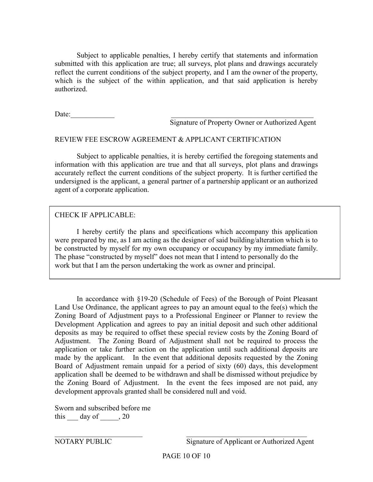Subject to applicable penalties, I hereby certify that statements and information submitted with this application are true; all surveys, plot plans and drawings accurately reflect the current conditions of the subject property, and I am the owner of the property, which is the subject of the within application, and that said application is hereby authorized.

Date:

Signature of Property Owner or Authorized Agent

#### REVIEW FEE ESCROW AGREEMENT & APPLICANT CERTIFICATION

Subject to applicable penalties, it is hereby certified the foregoing statements and information with this application are true and that all surveys, plot plans and drawings accurately reflect the current conditions of the subject property. It is further certified the undersigned is the applicant, a general partner of a partnership applicant or an authorized agent of a corporate application.

### CHECK IF APPLICABLE:

I hereby certify the plans and specifications which accompany this application were prepared by me, as I am acting as the designer of said building/alteration which is to be constructed by myself for my own occupancy or occupancy by my immediate family. The phase "constructed by myself" does not mean that I intend to personally do the work but that I am the person undertaking the work as owner and principal.

In accordance with §19-20 (Schedule of Fees) of the Borough of Point Pleasant Land Use Ordinance, the applicant agrees to pay an amount equal to the fee(s) which the Zoning Board of Adjustment pays to a Professional Engineer or Planner to review the Development Application and agrees to pay an initial deposit and such other additional deposits as may be required to offset these special review costs by the Zoning Board of Adjustment. The Zoning Board of Adjustment shall not be required to process the application or take further action on the application until such additional deposits are made by the applicant. In the event that additional deposits requested by the Zoning Board of Adjustment remain unpaid for a period of sixty (60) days, this development application shall be deemed to be withdrawn and shall be dismissed without prejudice by the Zoning Board of Adjustment. In the event the fees imposed are not paid, any development approvals granted shall be considered null and void.

Sworn and subscribed before me this  $\frac{day}{}$  of  $\frac{1}{20}$ 

NOTARY PUBLIC Signature of Applicant or Authorized Agent

 $\mathcal{L}_\text{max}$  , and the contribution of the contribution of the contribution of the contribution of the contribution of the contribution of the contribution of the contribution of the contribution of the contribution of t